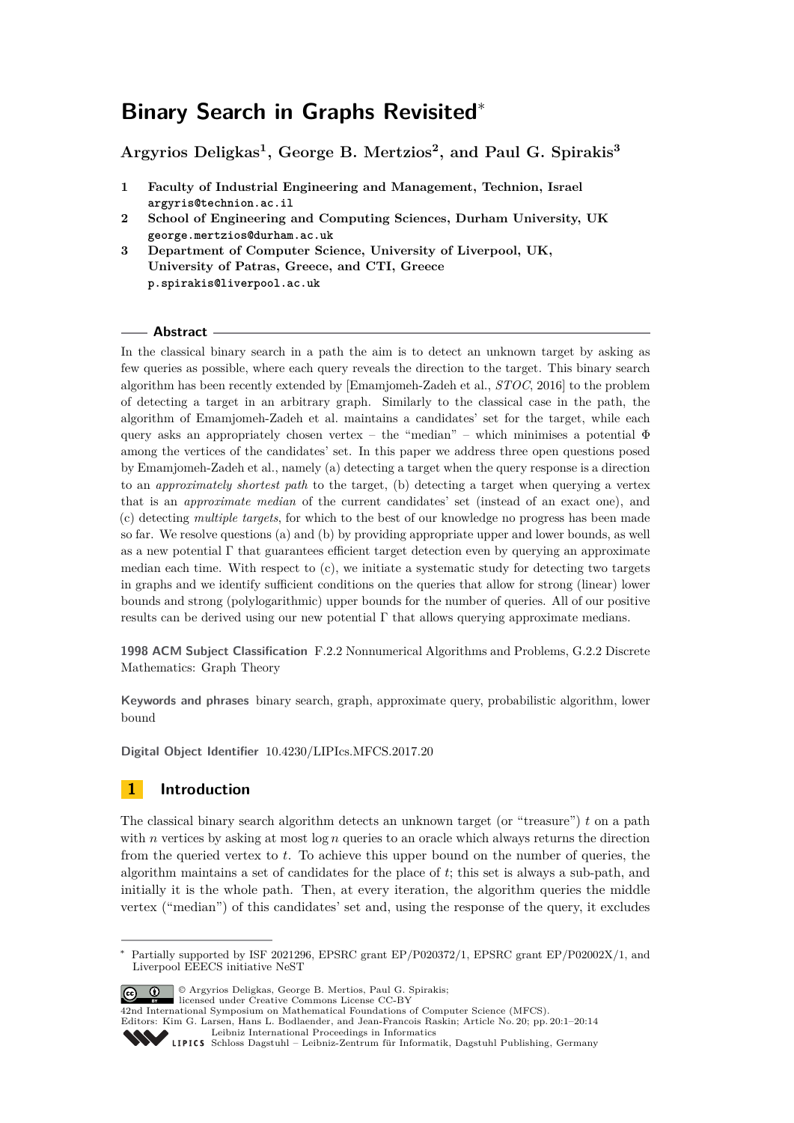# **Binary Search in Graphs Revisited**<sup>∗</sup>

**Argyrios Deligkas<sup>1</sup> , George B. Mertzios<sup>2</sup> , and Paul G. Spirakis<sup>3</sup>**

- **1 Faculty of Industrial Engineering and Management, Technion, Israel argyris@technion.ac.il**
- **2 School of Engineering and Computing Sciences, Durham University, UK george.mertzios@durham.ac.uk**
- **3 Department of Computer Science, University of Liverpool, UK, University of Patras, Greece, and CTI, Greece p.spirakis@liverpool.ac.uk**

# **Abstract**

In the classical binary search in a path the aim is to detect an unknown target by asking as few queries as possible, where each query reveals the direction to the target. This binary search algorithm has been recently extended by [Emamjomeh-Zadeh et al., *STOC*, 2016] to the problem of detecting a target in an arbitrary graph. Similarly to the classical case in the path, the algorithm of Emamjomeh-Zadeh et al. maintains a candidates' set for the target, while each query asks an appropriately chosen vertex – the "median" – which minimises a potential  $\Phi$ among the vertices of the candidates' set. In this paper we address three open questions posed by Emamjomeh-Zadeh et al., namely (a) detecting a target when the query response is a direction to an *approximately shortest path* to the target, (b) detecting a target when querying a vertex that is an *approximate median* of the current candidates' set (instead of an exact one), and (c) detecting *multiple targets*, for which to the best of our knowledge no progress has been made so far. We resolve questions (a) and (b) by providing appropriate upper and lower bounds, as well as a new potential Γ that guarantees efficient target detection even by querying an approximate median each time. With respect to  $(c)$ , we initiate a systematic study for detecting two targets in graphs and we identify sufficient conditions on the queries that allow for strong (linear) lower bounds and strong (polylogarithmic) upper bounds for the number of queries. All of our positive results can be derived using our new potential  $\Gamma$  that allows querying approximate medians.

**1998 ACM Subject Classification** F.2.2 Nonnumerical Algorithms and Problems, G.2.2 Discrete Mathematics: Graph Theory

**Keywords and phrases** binary search, graph, approximate query, probabilistic algorithm, lower bound

**Digital Object Identifier** [10.4230/LIPIcs.MFCS.2017.20](http://dx.doi.org/10.4230/LIPIcs.MFCS.2017.20)

# **1 Introduction**

The classical binary search algorithm detects an unknown target (or "treasure") *t* on a path with *n* vertices by asking at most  $\log n$  queries to an oracle which always returns the direction from the queried vertex to *t*. To achieve this upper bound on the number of queries, the algorithm maintains a set of candidates for the place of *t*; this set is always a sub-path, and initially it is the whole path. Then, at every iteration, the algorithm queries the middle vertex ("median") of this candidates' set and, using the response of the query, it excludes

<sup>∗</sup> Partially supported by ISF 2021296, EPSRC grant EP/P020372/1, EPSRC grant EP/P02002X/1, and Liverpool EEECS initiative NeST



© Argyrios Deligkas, George B. Mertios, Paul G. Spirakis;

[Schloss Dagstuhl – Leibniz-Zentrum für Informatik, Dagstuhl Publishing, Germany](http://www.dagstuhl.de)

licensed under Creative Commons License CC-BY 42nd International Symposium on Mathematical Foundations of Computer Science (MFCS).

Editors: Kim G. Larsen, Hans L. Bodlaender, and Jean-Francois Raskin; Article No. 20; pp. 20:1–20[:14](#page-13-0) [Leibniz International Proceedings in Informatics](http://www.dagstuhl.de/lipics/)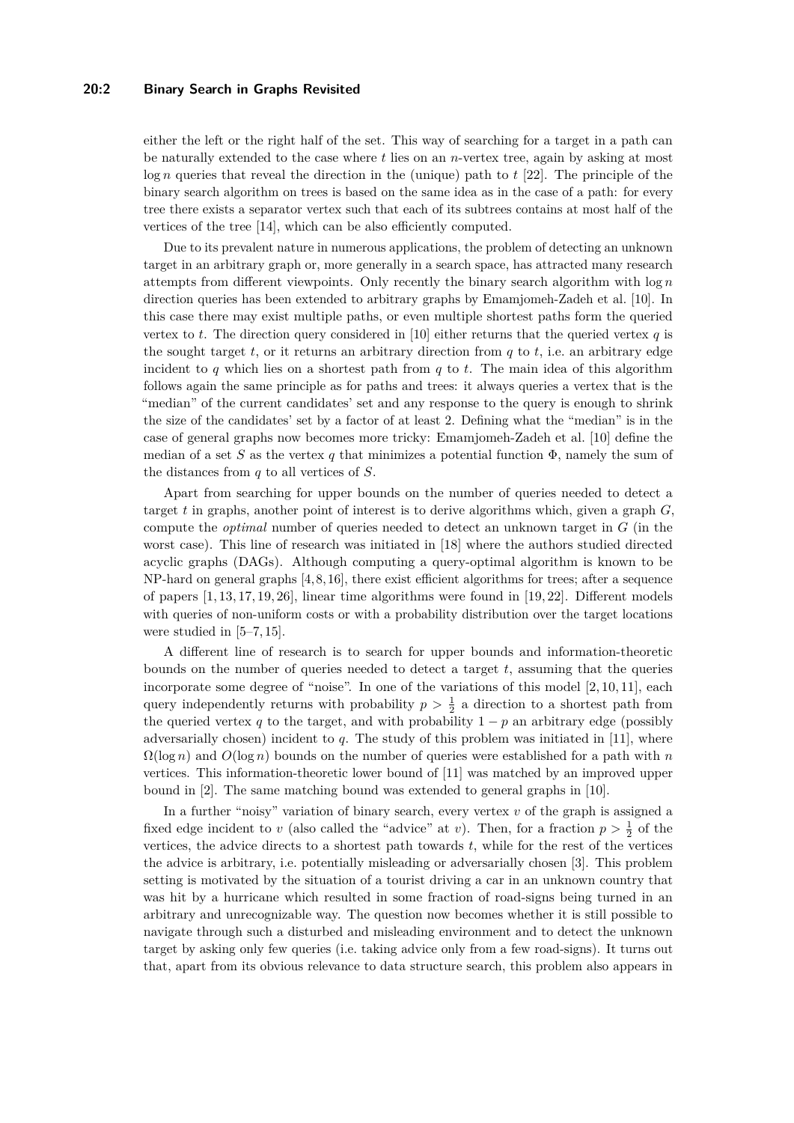### **20:2 Binary Search in Graphs Revisited**

either the left or the right half of the set. This way of searching for a target in a path can be naturally extended to the case where *t* lies on an *n*-vertex tree, again by asking at most log *n* queries that reveal the direction in the (unique) path to *t* [\[22\]](#page-13-1). The principle of the binary search algorithm on trees is based on the same idea as in the case of a path: for every tree there exists a separator vertex such that each of its subtrees contains at most half of the vertices of the tree [\[14\]](#page-12-0), which can be also efficiently computed.

Due to its prevalent nature in numerous applications, the problem of detecting an unknown target in an arbitrary graph or, more generally in a search space, has attracted many research attempts from different viewpoints. Only recently the binary search algorithm with log *n* direction queries has been extended to arbitrary graphs by Emamjomeh-Zadeh et al. [\[10\]](#page-12-1). In this case there may exist multiple paths, or even multiple shortest paths form the queried vertex to *t*. The direction query considered in [\[10\]](#page-12-1) either returns that the queried vertex  $q$  is the sought target  $t$ , or it returns an arbitrary direction from  $q$  to  $t$ , i.e. an arbitrary edge incident to *q* which lies on a shortest path from *q* to *t*. The main idea of this algorithm follows again the same principle as for paths and trees: it always queries a vertex that is the "median" of the current candidates' set and any response to the query is enough to shrink the size of the candidates' set by a factor of at least 2. Defining what the "median" is in the case of general graphs now becomes more tricky: Emamjomeh-Zadeh et al. [\[10\]](#page-12-1) define the median of a set *S* as the vertex *q* that minimizes a potential function  $\Phi$ , namely the sum of the distances from *q* to all vertices of *S*.

Apart from searching for upper bounds on the number of queries needed to detect a target *t* in graphs, another point of interest is to derive algorithms which, given a graph *G*, compute the *optimal* number of queries needed to detect an unknown target in *G* (in the worst case). This line of research was initiated in [\[18\]](#page-12-2) where the authors studied directed acyclic graphs (DAGs). Although computing a query-optimal algorithm is known to be NP-hard on general graphs [\[4,](#page-12-3) [8,](#page-12-4) [16\]](#page-12-5), there exist efficient algorithms for trees; after a sequence of papers [\[1,](#page-12-6) [13,](#page-12-7) [17,](#page-12-8) [19,](#page-12-9) [26\]](#page-13-2), linear time algorithms were found in [\[19,](#page-12-9) [22\]](#page-13-1). Different models with queries of non-uniform costs or with a probability distribution over the target locations were studied in  $[5-7, 15]$  $[5-7, 15]$  $[5-7, 15]$ .

A different line of research is to search for upper bounds and information-theoretic bounds on the number of queries needed to detect a target *t*, assuming that the queries incorporate some degree of "noise". In one of the variations of this model  $[2, 10, 11]$  $[2, 10, 11]$  $[2, 10, 11]$ , each query independently returns with probability  $p > \frac{1}{2}$  a direction to a shortest path from the queried vertex *q* to the target, and with probability  $1 - p$  an arbitrary edge (possibly adversarially chosen) incident to *q*. The study of this problem was initiated in [\[11\]](#page-12-14), where Ω(log *n*) and *O*(log *n*) bounds on the number of queries were established for a path with *n* vertices. This information-theoretic lower bound of [\[11\]](#page-12-14) was matched by an improved upper bound in [\[2\]](#page-12-13). The same matching bound was extended to general graphs in [\[10\]](#page-12-1).

In a further "noisy" variation of binary search, every vertex *v* of the graph is assigned a fixed edge incident to *v* (also called the "advice" at *v*). Then, for a fraction  $p > \frac{1}{2}$  of the vertices, the advice directs to a shortest path towards *t*, while for the rest of the vertices the advice is arbitrary, i.e. potentially misleading or adversarially chosen [\[3\]](#page-12-15). This problem setting is motivated by the situation of a tourist driving a car in an unknown country that was hit by a hurricane which resulted in some fraction of road-signs being turned in an arbitrary and unrecognizable way. The question now becomes whether it is still possible to navigate through such a disturbed and misleading environment and to detect the unknown target by asking only few queries (i.e. taking advice only from a few road-signs). It turns out that, apart from its obvious relevance to data structure search, this problem also appears in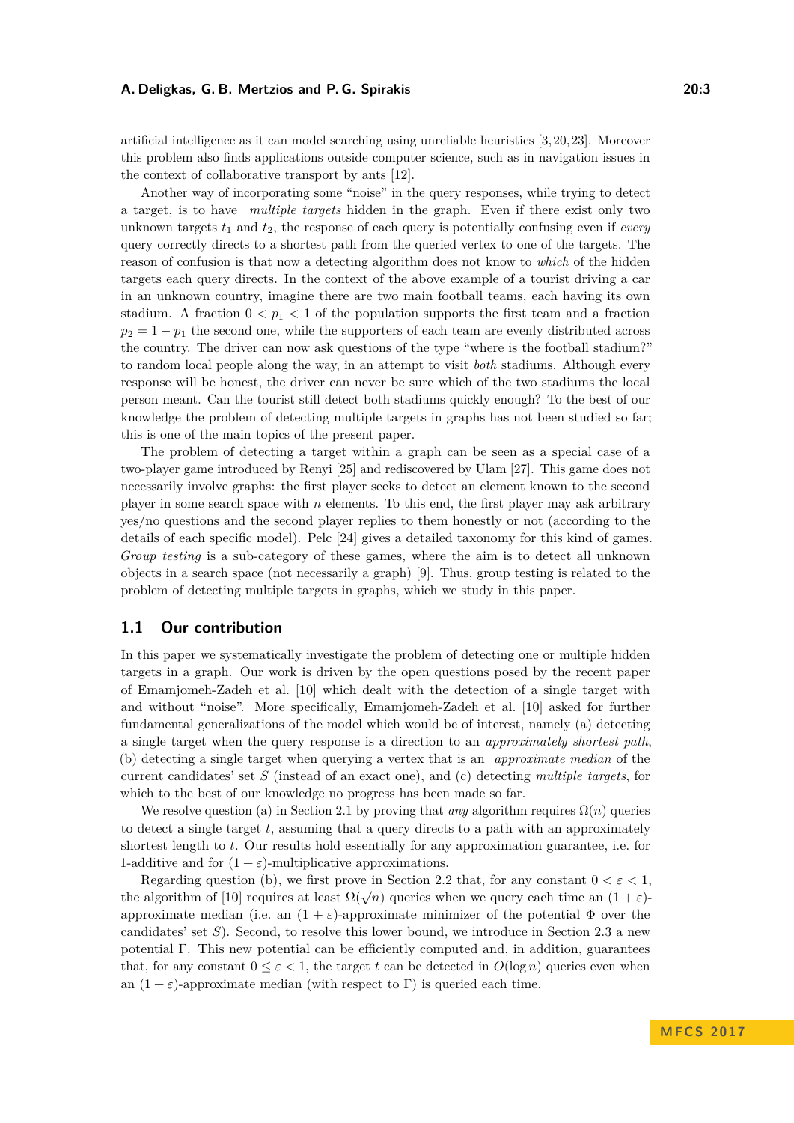artificial intelligence as it can model searching using unreliable heuristics [\[3,](#page-12-15) [20,](#page-12-16) [23\]](#page-13-3). Moreover this problem also finds applications outside computer science, such as in navigation issues in the context of collaborative transport by ants [\[12\]](#page-12-17).

Another way of incorporating some "noise" in the query responses, while trying to detect a target, is to have *multiple targets* hidden in the graph. Even if there exist only two unknown targets  $t_1$  and  $t_2$ , the response of each query is potentially confusing even if *every* query correctly directs to a shortest path from the queried vertex to one of the targets. The reason of confusion is that now a detecting algorithm does not know to *which* of the hidden targets each query directs. In the context of the above example of a tourist driving a car in an unknown country, imagine there are two main football teams, each having its own stadium. A fraction  $0 < p_1 < 1$  of the population supports the first team and a fraction  $p_2 = 1 - p_1$  the second one, while the supporters of each team are evenly distributed across the country. The driver can now ask questions of the type "where is the football stadium?" to random local people along the way, in an attempt to visit *both* stadiums. Although every response will be honest, the driver can never be sure which of the two stadiums the local person meant. Can the tourist still detect both stadiums quickly enough? To the best of our knowledge the problem of detecting multiple targets in graphs has not been studied so far; this is one of the main topics of the present paper.

The problem of detecting a target within a graph can be seen as a special case of a two-player game introduced by Renyi [\[25\]](#page-13-4) and rediscovered by Ulam [\[27\]](#page-13-5). This game does not necessarily involve graphs: the first player seeks to detect an element known to the second player in some search space with *n* elements. To this end, the first player may ask arbitrary yes/no questions and the second player replies to them honestly or not (according to the details of each specific model). Pelc [\[24\]](#page-13-6) gives a detailed taxonomy for this kind of games. *Group testing* is a sub-category of these games, where the aim is to detect all unknown objects in a search space (not necessarily a graph) [\[9\]](#page-12-18). Thus, group testing is related to the problem of detecting multiple targets in graphs, which we study in this paper.

### **1.1 Our contribution**

In this paper we systematically investigate the problem of detecting one or multiple hidden targets in a graph. Our work is driven by the open questions posed by the recent paper of Emamjomeh-Zadeh et al. [\[10\]](#page-12-1) which dealt with the detection of a single target with and without "noise". More specifically, Emamjomeh-Zadeh et al. [\[10\]](#page-12-1) asked for further fundamental generalizations of the model which would be of interest, namely (a) detecting a single target when the query response is a direction to an *approximately shortest path*, (b) detecting a single target when querying a vertex that is an *approximate median* of the current candidates' set *S* (instead of an exact one), and (c) detecting *multiple targets*, for which to the best of our knowledge no progress has been made so far.

We resolve question (a) in Section [2.1](#page-4-0) by proving that *any* algorithm requires  $\Omega(n)$  queries to detect a single target *t*, assuming that a query directs to a path with an approximately shortest length to *t*. Our results hold essentially for any approximation guarantee, i.e. for 1-additive and for  $(1 + \varepsilon)$ -multiplicative approximations.

Regarding question (b), we first prove in Section [2.2](#page-5-0) that, for any constant  $0 < \varepsilon < 1$ , the algorithm of [\[10\]](#page-12-1) requires at least  $\Omega(\sqrt{n})$  queries when we query each time an  $(1 + \varepsilon)$ approximate median (i.e. an  $(1 + \varepsilon)$ -approximate minimizer of the potential  $\Phi$  over the candidates' set *S*). Second, to resolve this lower bound, we introduce in Section [2.3](#page-5-1) a new potential Γ. This new potential can be efficiently computed and, in addition, guarantees that, for any constant  $0 \leq \varepsilon < 1$ , the target t can be detected in  $O(\log n)$  queries even when an  $(1 + \varepsilon)$ -approximate median (with respect to Γ) is queried each time.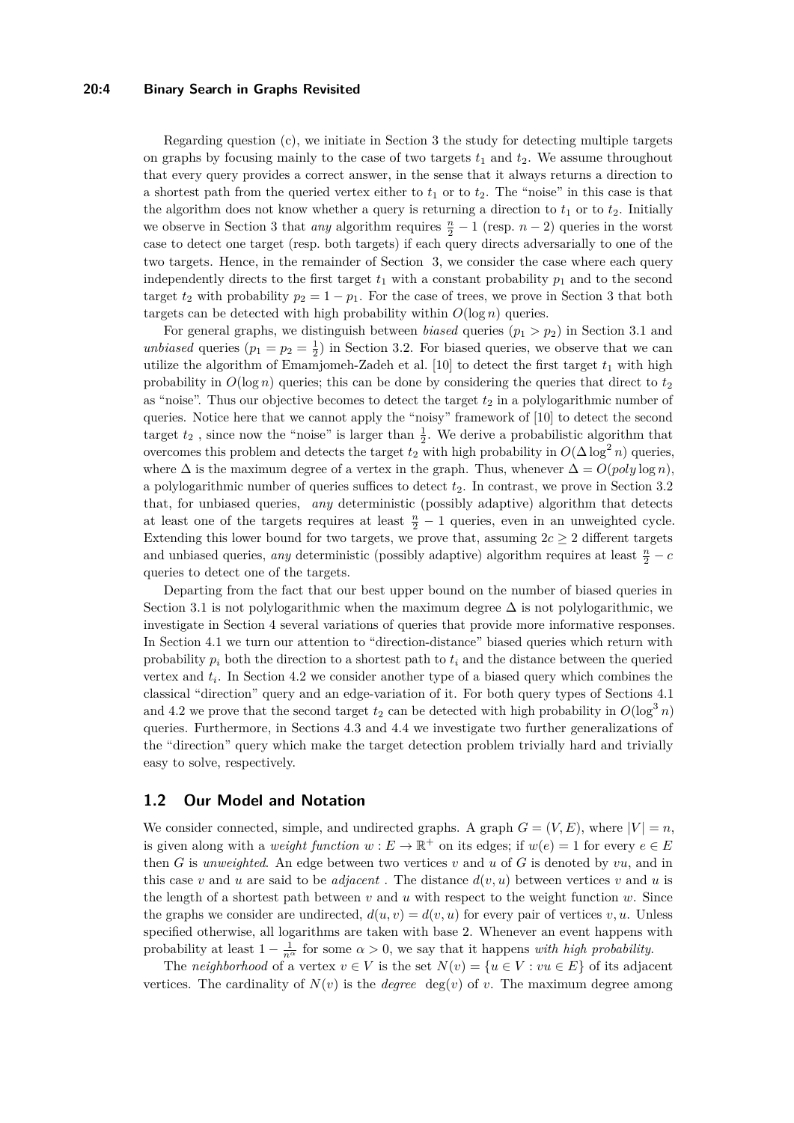### **20:4 Binary Search in Graphs Revisited**

Regarding question (c), we initiate in Section [3](#page-6-0) the study for detecting multiple targets on graphs by focusing mainly to the case of two targets  $t_1$  and  $t_2$ . We assume throughout that every query provides a correct answer, in the sense that it always returns a direction to a shortest path from the queried vertex either to  $t_1$  or to  $t_2$ . The "noise" in this case is that the algorithm does not know whether a query is returning a direction to  $t_1$  or to  $t_2$ . Initially we observe in Section [3](#page-6-0) that *any* algorithm requires  $\frac{n}{2} - 1$  (resp. *n* − 2) queries in the worst case to detect one target (resp. both targets) if each query directs adversarially to one of the two targets. Hence, in the remainder of Section [3,](#page-6-0) we consider the case where each query independently directs to the first target  $t_1$  with a constant probability  $p_1$  and to the second target  $t_2$  with probability  $p_2 = 1 - p_1$ . For the case of trees, we prove in Section [3](#page-6-0) that both targets can be detected with high probability within  $O(\log n)$  queries.

For general graphs, we distinguish between *biased* queries  $(p_1 > p_2)$  in Section [3.1](#page-7-0) and *unbiased* queries  $(p_1 = p_2 = \frac{1}{2})$  in Section [3.2.](#page-9-0) For biased queries, we observe that we can utilize the algorithm of Emamjomeh-Zadeh et al.  $[10]$  to detect the first target  $t_1$  with high probability in  $O(\log n)$  queries; this can be done by considering the queries that direct to  $t_2$ as "noise". Thus our objective becomes to detect the target  $t_2$  in a polylogarithmic number of queries. Notice here that we cannot apply the "noisy" framework of [\[10\]](#page-12-1) to detect the second target  $t_2$ , since now the "noise" is larger than  $\frac{1}{2}$ . We derive a probabilistic algorithm that overcomes this problem and detects the target  $t_2$  with high probability in  $O(\Delta \log^2 n)$  queries, where  $\Delta$  is the maximum degree of a vertex in the graph. Thus, whenever  $\Delta = O(\text{poly}\log n)$ , a polylogarithmic number of queries suffices to detect *t*2. In contrast, we prove in Section [3.2](#page-9-0) that, for unbiased queries, *any* deterministic (possibly adaptive) algorithm that detects at least one of the targets requires at least  $\frac{n}{2} - 1$  queries, even in an unweighted cycle. Extending this lower bound for two targets, we prove that, assuming  $2c \geq 2$  different targets and unbiased queries, *any* deterministic (possibly adaptive) algorithm requires at least  $\frac{n}{2} - c$ queries to detect one of the targets.

Departing from the fact that our best upper bound on the number of biased queries in Section [3.1](#page-7-0) is not polylogarithmic when the maximum degree  $\Delta$  is not polylogarithmic, we investigate in Section [4](#page-9-1) several variations of queries that provide more informative responses. In Section [4.1](#page-9-2) we turn our attention to "direction-distance" biased queries which return with probability  $p_i$  both the direction to a shortest path to  $t_i$  and the distance between the queried vertex and *t<sup>i</sup>* . In Section [4.2](#page-10-0) we consider another type of a biased query which combines the classical "direction" query and an edge-variation of it. For both query types of Sections [4.1](#page-9-2) and [4.2](#page-10-0) we prove that the second target  $t_2$  can be detected with high probability in  $O(\log^3 n)$ queries. Furthermore, in Sections [4.3](#page-11-0) and [4.4](#page-11-1) we investigate two further generalizations of the "direction" query which make the target detection problem trivially hard and trivially easy to solve, respectively.

### <span id="page-3-0"></span>**1.2 Our Model and Notation**

We consider connected, simple, and undirected graphs. A graph  $G = (V, E)$ , where  $|V| = n$ , is given along with a *weight function*  $w : E \to \mathbb{R}^+$  on its edges; if  $w(e) = 1$  for every  $e \in E$ then *G* is *unweighted*. An edge between two vertices *v* and *u* of *G* is denoted by *vu*, and in this case *v* and *u* are said to be *adjacent*. The distance  $d(v, u)$  between vertices *v* and *u* is the length of a shortest path between *v* and *u* with respect to the weight function *w*. Since the graphs we consider are undirected,  $d(u, v) = d(v, u)$  for every pair of vertices  $v, u$ . Unless specified otherwise, all logarithms are taken with base 2. Whenever an event happens with probability at least  $1 - \frac{1}{n^{\alpha}}$  for some  $\alpha > 0$ , we say that it happens *with high probability*.

The *neighborhood* of a vertex  $v \in V$  is the set  $N(v) = \{u \in V : vu \in E\}$  of its adjacent vertices. The cardinality of  $N(v)$  is the *degree* deg(*v*) of *v*. The maximum degree among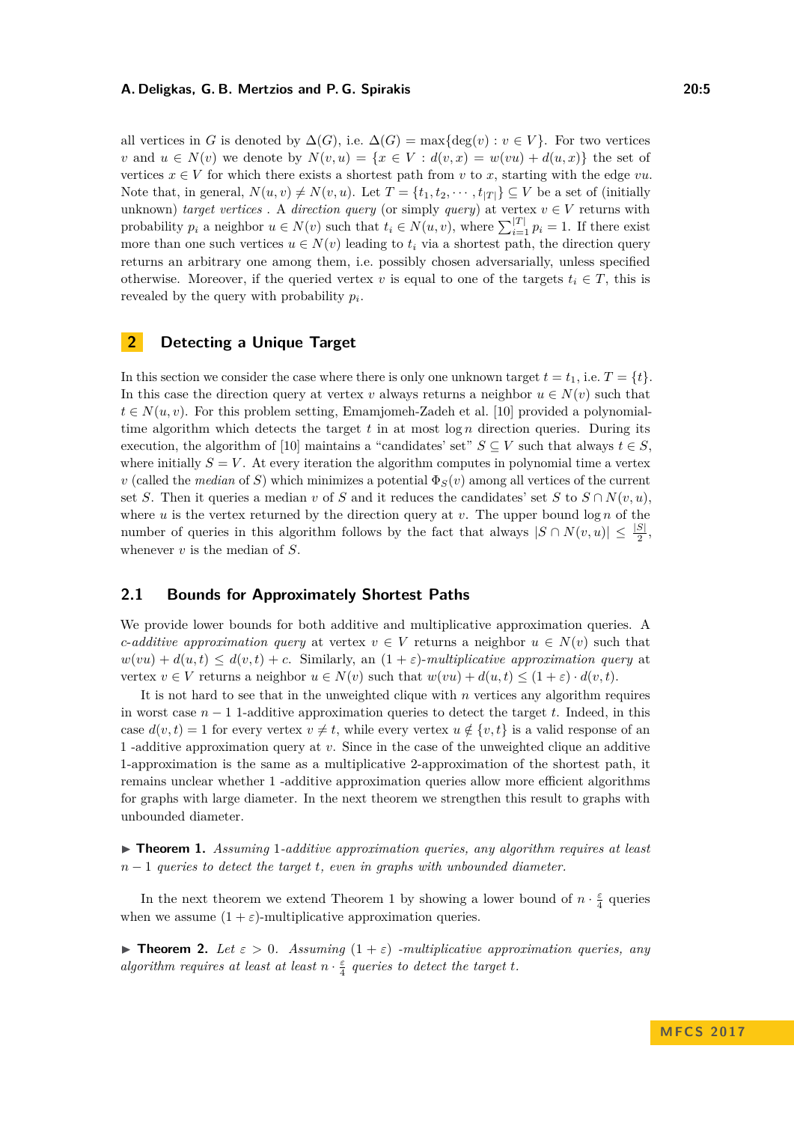all vertices in *G* is denoted by  $\Delta(G)$ , i.e.  $\Delta(G) = \max\{\deg(v) : v \in V\}$ . For two vertices *v* and  $u \in N(v)$  we denote by  $N(v, u) = \{x \in V : d(v, x) = w(vu) + d(u, x)\}\)$  the set of vertices  $x \in V$  for which there exists a shortest path from *v* to *x*, starting with the edge *vu*. Note that, in general,  $N(u, v) \neq N(v, u)$ . Let  $T = \{t_1, t_2, \dots, t_{|T|}\} \subseteq V$  be a set of (initially unknown) *target vertices* . A *direction query* (or simply *query*) at vertex  $v \in V$  returns with probability  $p_i$  a neighbor  $u \in N(v)$  such that  $t_i \in N(u, v)$ , where  $\sum_{i=1}^{|T|} p_i = 1$ . If there exist more than one such vertices  $u \in N(v)$  leading to  $t_i$  via a shortest path, the direction query returns an arbitrary one among them, i.e. possibly chosen adversarially, unless specified otherwise. Moreover, if the queried vertex *v* is equal to one of the targets  $t_i \in T$ , this is revealed by the query with probability *p<sup>i</sup>* .

# **2 Detecting a Unique Target**

In this section we consider the case where there is only one unknown target  $t = t_1$ , i.e.  $T = \{t\}$ . In this case the direction query at vertex *v* always returns a neighbor  $u \in N(v)$  such that  $t \in N(u, v)$ . For this problem setting, Emamjomeh-Zadeh et al. [\[10\]](#page-12-1) provided a polynomialtime algorithm which detects the target  $t$  in at most  $\log n$  direction queries. During its execution, the algorithm of [\[10\]](#page-12-1) maintains a "candidates' set"  $S \subseteq V$  such that always  $t \in S$ , where initially  $S = V$ . At every iteration the algorithm computes in polynomial time a vertex *v* (called the *median* of *S*) which minimizes a potential  $\Phi_S(v)$  among all vertices of the current set *S*. Then it queries a median *v* of *S* and it reduces the candidates' set *S* to  $S \cap N(v, u)$ , where  $u$  is the vertex returned by the direction query at  $v$ . The upper bound  $\log n$  of the number of queries in this algorithm follows by the fact that always  $|S \cap N(v, u)| \leq \frac{|S|}{2}$ , whenever *v* is the median of *S*.

# <span id="page-4-0"></span>**2.1 Bounds for Approximately Shortest Paths**

We provide lower bounds for both additive and multiplicative approximation queries. A *c*-*additive approximation query* at vertex  $v \in V$  returns a neighbor  $u \in N(v)$  such that  $w(vu) + d(u,t) \leq d(v,t) + c$ . Similarly, an  $(1 + \varepsilon)$ -*multiplicative approximation query* at vertex  $v \in V$  returns a neighbor  $u \in N(v)$  such that  $w(vu) + d(u, t) \leq (1 + \varepsilon) \cdot d(v, t)$ .

It is not hard to see that in the unweighted clique with *n* vertices any algorithm requires in worst case *n* − 1 1-additive approximation queries to detect the target *t*. Indeed, in this case  $d(v, t) = 1$  for every vertex  $v \neq t$ , while every vertex  $u \notin \{v, t\}$  is a valid response of an 1 -additive approximation query at *v*. Since in the case of the unweighted clique an additive 1-approximation is the same as a multiplicative 2-approximation of the shortest path, it remains unclear whether 1 -additive approximation queries allow more efficient algorithms for graphs with large diameter. In the next theorem we strengthen this result to graphs with unbounded diameter.

<span id="page-4-1"></span>▶ **Theorem 1.** *Assuming* 1-*additive approximation queries, any algorithm requires at least n* − 1 *queries to detect the target t, even in graphs with unbounded diameter.*

In the next theorem we extend Theorem [1](#page-4-1) by showing a lower bound of  $n \cdot \frac{\varepsilon}{4}$  queries when we assume  $(1 + \varepsilon)$ -multiplicative approximation queries.

**Findmen 2.** Let  $\varepsilon > 0$ . Assuming  $(1 + \varepsilon)$  *-multiplicative approximation queries, any algorithm requires at least at least*  $n \cdot \frac{\varepsilon}{4}$  *queries to detect the target t.*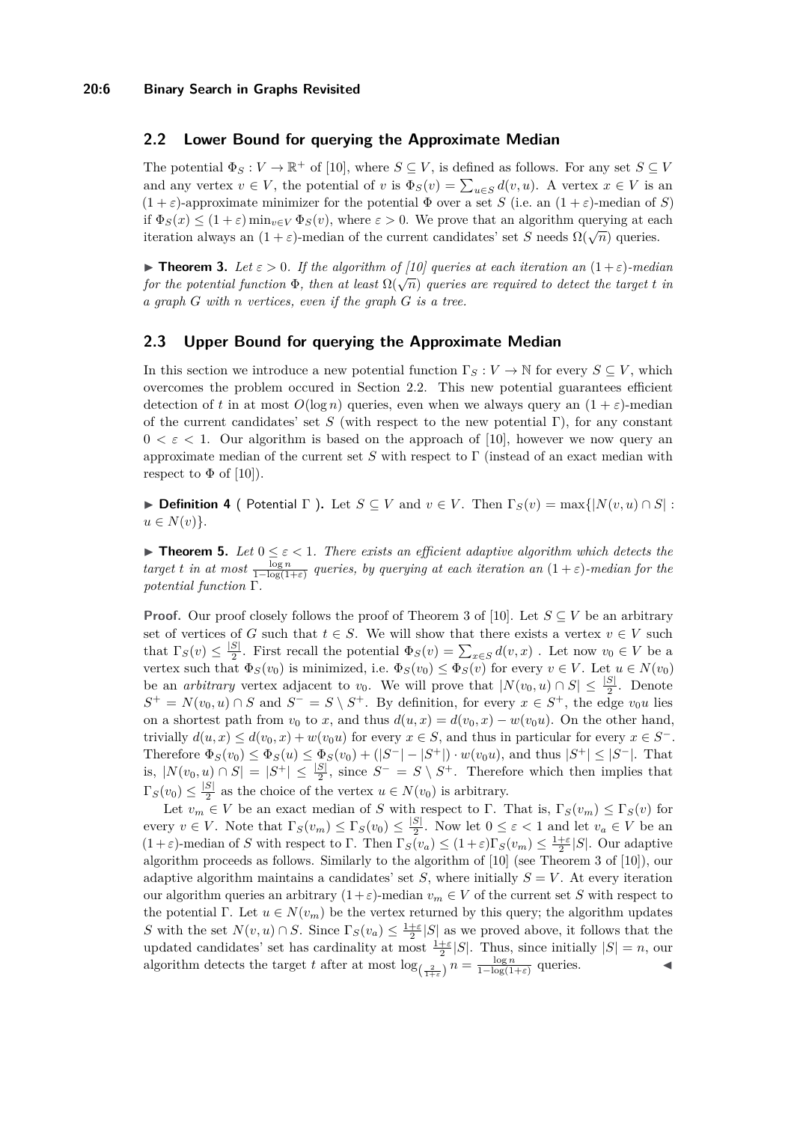## <span id="page-5-0"></span>**2.2 Lower Bound for querying the Approximate Median**

The potential  $\Phi_S : V \to \mathbb{R}^+$  of [\[10\]](#page-12-1), where  $S \subseteq V$ , is defined as follows. For any set  $S \subseteq V$ and any vertex  $v \in V$ , the potential of  $v$  is  $\Phi_S(v) = \sum_{u \in S} d(v, u)$ . A vertex  $x \in V$  is an  $(1 + \varepsilon)$ -approximate minimizer for the potential  $\Phi$  over a set *S* (i.e. an  $(1 + \varepsilon)$ -median of *S*) if  $\Phi_S(x) \leq (1+\varepsilon) \min_{v \in V} \Phi_S(v)$ , where  $\varepsilon > 0$ . We prove that an algorithm querying at each if  $\mathcal{L}_{S}(x) \leq (1 + \varepsilon) \min_{v \in V} \mathcal{L}_{S}(v)$ , where  $\varepsilon > 0$ . We prove that an algorithm querying at calibration always an  $(1 + \varepsilon)$ -median of the current candidates' set *S* needs  $\Omega(\sqrt{n})$  queries.

**Findam 3.** Let  $\varepsilon > 0$ . If the algorithm of [\[10\]](#page-12-1) queries at each iteration an  $(1+\varepsilon)$ -median *for the potential function*  $\Phi$ , then at least  $\Omega(\sqrt{n})$  queries are required to detect the target *t* in *a graph G with n vertices, even if the graph G is a tree.*

# <span id="page-5-1"></span>**2.3 Upper Bound for querying the Approximate Median**

In this section we introduce a new potential function  $\Gamma_S : V \to \mathbb{N}$  for every  $S \subseteq V$ , which overcomes the problem occured in Section [2.2.](#page-5-0) This new potential guarantees efficient detection of *t* in at most  $O(\log n)$  queries, even when we always query an  $(1 + \varepsilon)$ -median of the current candidates' set *S* (with respect to the new potential Γ), for any constant  $0 < \varepsilon < 1$ . Our algorithm is based on the approach of [\[10\]](#page-12-1), however we now query an approximate median of the current set *S* with respect to Γ (instead of an exact median with respect to  $\Phi$  of [\[10\]](#page-12-1)).

<span id="page-5-3"></span>**► Definition 4** ( Potential  $\Gamma$  ). Let  $S \subset V$  and  $v \in V$ . Then  $\Gamma_S(v) = \max\{|N(v, u) \cap S|$ :  $u \in N(v)$ .

<span id="page-5-2"></span>**Theorem 5.** Let  $0 \le \varepsilon < 1$ . There exists an efficient adaptive algorithm which detects the  $target$  *t in at most*  $\frac{\log n}{1-\log(1+\varepsilon)}$  *queries, by querying at each iteration an*  $(1+\varepsilon)$ *-median for the potential function* Γ*.*

**Proof.** Our proof closely follows the proof of Theorem 3 of [\[10\]](#page-12-1). Let  $S \subseteq V$  be an arbitrary set of vertices of *G* such that  $t \in S$ . We will show that there exists a vertex  $v \in V$  such that  $\Gamma_S(v) \leq \frac{|S|}{2}$  $\frac{S}{2}$ . First recall the potential  $\Phi_S(v) = \sum_{x \in S} d(v, x)$ . Let now  $v_0 \in V$  be a vertex such that  $\Phi_S(v_0)$  is minimized, i.e.  $\Phi_S(v_0) \leq \Phi_S(v)$  for every  $v \in V$ . Let  $u \in N(v_0)$ be an *arbitrary* vertex adjacent to  $v_0$ . We will prove that  $|N(v_0, u) \cap S| \leq \frac{|S|}{2}$ . Denote  $S^+ = N(v_0, u) \cap S$  and  $S^- = S \setminus S^+$ . By definition, for every  $x \in S^+$ , the edge  $v_0u$  lies on a shortest path from  $v_0$  to x, and thus  $d(u, x) = d(v_0, x) - w(v_0u)$ . On the other hand, trivially  $d(u, x) \leq d(v_0, x) + w(v_0u)$  for every  $x \in S$ , and thus in particular for every  $x \in S^-$ . Therefore  $\Phi_S(v_0) \le \Phi_S(u) \le \Phi_S(v_0) + (|S^-| - |S^+|) \cdot w(v_0 u)$ , and thus  $|S^+| \le |S^-|$ . That is,  $|N(v_0, u) \cap S| = |S^+| \leq \frac{|S|}{2}$ , since  $S^- = S \setminus S^+$ . Therefore which then implies that  $\Gamma_S(v_0) \leq \frac{|S|}{2}$  $\frac{S_1}{2}$  as the choice of the vertex  $u \in N(v_0)$  is arbitrary.

Let  $v_m \in V$  be an exact median of *S* with respect to Γ. That is,  $\Gamma_S(v_m) \leq \Gamma_S(v)$  for every  $v \in V$ . Note that  $\Gamma_S(v_m) \leq \Gamma_S(v_0) \leq \frac{|S|}{2}$  $\frac{S}{2}$ . Now let  $0 \le \varepsilon < 1$  and let  $v_a \in V$  be an  $(1+\varepsilon)$ -median of *S* with respect to Γ. Then  $\Gamma_S(v_a) \leq (1+\varepsilon)\Gamma_S(v_m) \leq \frac{1+\varepsilon}{2}|S|$ . Our adaptive algorithm proceeds as follows. Similarly to the algorithm of [\[10\]](#page-12-1) (see Theorem 3 of [\[10\]](#page-12-1)), our adaptive algorithm maintains a candidates' set *S*, where initially  $S = V$ . At every iteration our algorithm queries an arbitrary  $(1+\varepsilon)$ -median  $v_m \in V$  of the current set *S* with respect to the potential Γ. Let  $u \in N(v_m)$  be the vertex returned by this query; the algorithm updates *S* with the set  $N(v, u) \cap S$ . Since  $\Gamma_S(v_a) \leq \frac{1+\varepsilon}{2}|S|$  as we proved above, it follows that the updated candidates' set has cardinality at most  $\frac{1+\varepsilon}{2}|S|$ . Thus, since initially  $|S| = n$ , our algorithm detects the target *t* after at most  $\log_{(\frac{2}{1+\varepsilon})} n = \frac{\log n}{1-\log(1+\varepsilon)}$  queries.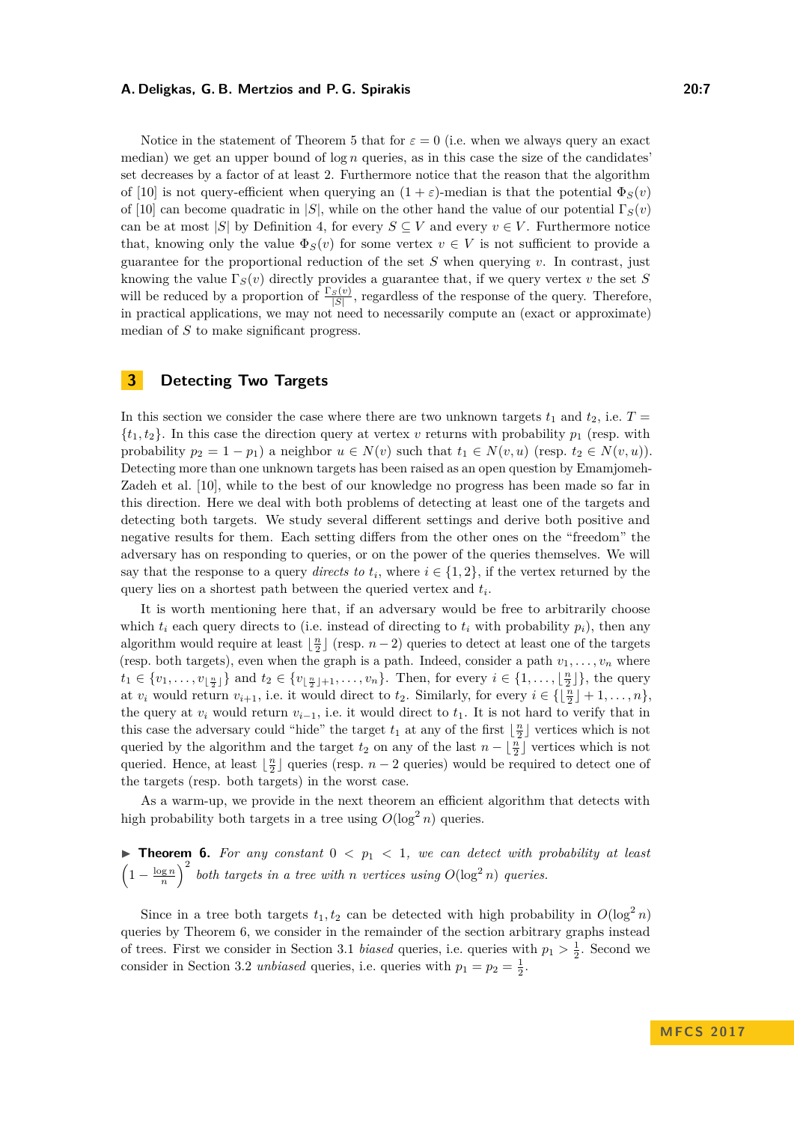Notice in the statement of Theorem [5](#page-5-2) that for  $\varepsilon = 0$  (i.e. when we always query an exact median) we get an upper bound of  $\log n$  queries, as in this case the size of the candidates' set decreases by a factor of at least 2. Furthermore notice that the reason that the algorithm of [\[10\]](#page-12-1) is not query-efficient when querying an  $(1 + \varepsilon)$ -median is that the potential  $\Phi_S(v)$ of [\[10\]](#page-12-1) can become quadratic in  $|S|$ , while on the other hand the value of our potential  $\Gamma_S(v)$ can be at most |*S*| by Definition [4,](#page-5-3) for every  $S \subseteq V$  and every  $v \in V$ . Furthermore notice that, knowing only the value  $\Phi_S(v)$  for some vertex  $v \in V$  is not sufficient to provide a guarantee for the proportional reduction of the set  $S$  when querying  $v$ . In contrast, just knowing the value  $\Gamma_S(v)$  directly provides a guarantee that, if we query vertex *v* the set *S* will be reduced by a proportion of  $\frac{\Gamma_S(v)}{|S|}$ , regardless of the response of the query. Therefore, in practical applications, we may not need to necessarily compute an (exact or approximate) median of *S* to make significant progress.

# <span id="page-6-0"></span>**3 Detecting Two Targets**

In this section we consider the case where there are two unknown targets  $t_1$  and  $t_2$ , i.e.  $T =$  $\{t_1, t_2\}$ . In this case the direction query at vertex *v* returns with probability  $p_1$  (resp. with probability  $p_2 = 1 - p_1$  a neighbor  $u \in N(v)$  such that  $t_1 \in N(v, u)$  (resp.  $t_2 \in N(v, u)$ ). Detecting more than one unknown targets has been raised as an open question by Emamjomeh-Zadeh et al. [\[10\]](#page-12-1), while to the best of our knowledge no progress has been made so far in this direction. Here we deal with both problems of detecting at least one of the targets and detecting both targets. We study several different settings and derive both positive and negative results for them. Each setting differs from the other ones on the "freedom" the adversary has on responding to queries, or on the power of the queries themselves. We will say that the response to a query *directs to*  $t_i$ , where  $i \in \{1, 2\}$ , if the vertex returned by the query lies on a shortest path between the queried vertex and *t<sup>i</sup>* .

It is worth mentioning here that, if an adversary would be free to arbitrarily choose which  $t_i$  each query directs to (i.e. instead of directing to  $t_i$  with probability  $p_i$ ), then any algorithm would require at least  $\lfloor \frac{n}{2} \rfloor$  (resp. *n* − 2) queries to detect at least one of the targets (resp. both targets), even when the graph is a path. Indeed, consider a path  $v_1, \ldots, v_n$  where  $t_1 \in \{v_1, \ldots, v_{\lfloor \frac{n}{2} \rfloor}\}\$  and  $t_2 \in \{v_{\lfloor \frac{n}{2} \rfloor + 1}, \ldots, v_n\}$ . Then, for every  $i \in \{1, \ldots, \lfloor \frac{n}{2} \rfloor\}\$ , the query at  $v_i$  would return  $v_{i+1}$ , i.e. it would direct to  $t_2$ . Similarly, for every  $i \in \{\lfloor \frac{n}{2} \rfloor + 1, \ldots, n\}$ , the query at  $v_i$  would return  $v_{i-1}$ , i.e. it would direct to  $t_1$ . It is not hard to verify that in this case the adversary could "hide" the target  $t_1$  at any of the first  $\lfloor \frac{n}{2} \rfloor$  vertices which is not queried by the algorithm and the target  $t_2$  on any of the last  $n - \lfloor \frac{n}{2} \rfloor$  vertices which is not queried. Hence, at least  $\lfloor \frac{n}{2} \rfloor$  queries (resp. *n* − 2 queries) would be required to detect one of the targets (resp. both targets) in the worst case.

As a warm-up, we provide in the next theorem an efficient algorithm that detects with high probability both targets in a tree using  $O(\log^2 n)$  queries.

<span id="page-6-1"></span>**Theorem 6.** For any constant  $0 < p_1 < 1$ , we can detect with probability at least  $\left(1-\frac{\log n}{n}\right)^2$  both targets in a tree with *n* vertices using  $O(\log^2 n)$  queries.

Since in a tree both targets  $t_1, t_2$  can be detected with high probability in  $O(\log^2 n)$ queries by Theorem [6,](#page-6-1) we consider in the remainder of the section arbitrary graphs instead of trees. First we consider in Section [3.1](#page-7-0) *biased* queries, i.e. queries with  $p_1 > \frac{1}{2}$ . Second we consider in Section [3.2](#page-9-0) *unbiased* queries, i.e. queries with  $p_1 = p_2 = \frac{1}{2}$ .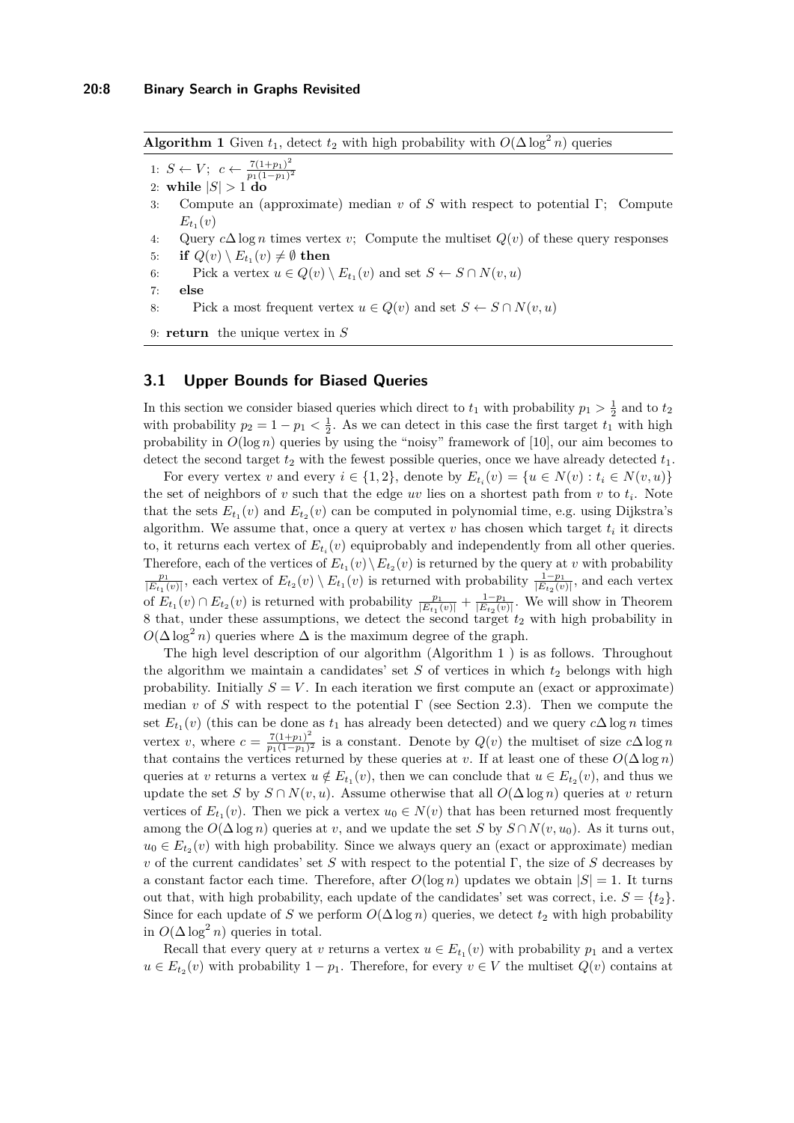<span id="page-7-1"></span>**Algorithm 1** Given  $t_1$ , detect  $t_2$  with high probability with  $O(\Delta \log^2 n)$  queries

1:  $S \leftarrow V$ ;  $c \leftarrow \frac{7(1+p_1)^2}{p_1(1-p_1)^2}$ *p*1(1−*p*1) 2

- 2: while  $|S| > 1$  do
- 3: Compute an (approximate) median *v* of *S* with respect to potential Γ; Compute  $E_{t_1}(v)$
- 4: Query *c*∆ log *n* times vertex *v*; Compute the multiset *Q*(*v*) of these query responses
- $5:$  **if**  $Q(v) \setminus E_{t_1}(v) \neq \emptyset$  then
- 6: Pick a vertex  $u \in Q(v) \setminus E_{t_1}(v)$  and set  $S \leftarrow S \cap N(v, u)$
- 7: **else**
- <span id="page-7-2"></span>8: Pick a most frequent vertex  $u \in Q(v)$  and set  $S \leftarrow S \cap N(v, u)$

```
9: return the unique vertex in S
```
### <span id="page-7-0"></span>**3.1 Upper Bounds for Biased Queries**

In this section we consider biased queries which direct to  $t_1$  with probability  $p_1 > \frac{1}{2}$  and to  $t_2$ with probability  $p_2 = 1 - p_1 < \frac{1}{2}$ . As we can detect in this case the first target  $t_1$  with high probability in  $O(\log n)$  queries by using the "noisy" framework of [\[10\]](#page-12-1), our aim becomes to detect the second target  $t_2$  with the fewest possible queries, once we have already detected  $t_1$ .

For every vertex *v* and every  $i \in \{1, 2\}$ , denote by  $E_{t_i}(v) = \{u \in N(v) : t_i \in N(v, u)\}$ the set of neighbors of  $v$  such that the edge  $uv$  lies on a shortest path from  $v$  to  $t_i$ . Note that the sets  $E_{t_1}(v)$  and  $E_{t_2}(v)$  can be computed in polynomial time, e.g. using Dijkstra's algorithm. We assume that, once a query at vertex  $v$  has chosen which target  $t_i$  it directs to, it returns each vertex of  $E_{t_i}(v)$  equiprobably and independently from all other queries. Therefore, each of the vertices of  $E_{t_1}(v) \setminus E_{t_2}(v)$  is returned by the query at *v* with probability  $\frac{p_1}{|E_{t_1}(v)|}$ , each vertex of  $E_{t_2}(v) \setminus E_{t_1}(v)$  is returned with probability  $\frac{1-p_1}{|E_{t_2}(v)|}$ , and each vertex of  $E_{t_1}(v) \cap E_{t_2}(v)$  is returned with probability  $\frac{p_1}{|E_{t_1}(v)|} + \frac{1-p_1}{|E_{t_2}(v)|}$ . We will show in Theorem [8](#page-8-0) that, under these assumptions, we detect the second target *t*<sup>2</sup> with high probability in  $O(\Delta \log^2 n)$  queries where  $\Delta$  is the maximum degree of the graph.

The high level description of our algorithm (Algorithm [1](#page-7-1) ) is as follows. Throughout the algorithm we maintain a candidates' set  $S$  of vertices in which  $t_2$  belongs with high probability. Initially  $S = V$ . In each iteration we first compute an (exact or approximate) median *v* of *S* with respect to the potential  $\Gamma$  (see Section [2.3\)](#page-5-1). Then we compute the set  $E_{t_1}(v)$  (this can be done as  $t_1$  has already been detected) and we query  $c\Delta \log n$  times vertex *v*, where  $c = \frac{7(1+p_1)^2}{p_1(1-p_1)^2}$  $\frac{T(1+p_1)^2}{p_1(1-p_1)^2}$  is a constant. Denote by  $Q(v)$  the multiset of size  $c\Delta \log n$ that contains the vertices returned by these queries at *v*. If at least one of these  $O(\Delta \log n)$ queries at *v* returns a vertex  $u \notin E_{t_1}(v)$ , then we can conclude that  $u \in E_{t_2}(v)$ , and thus we update the set *S* by  $S \cap N(v, u)$ . Assume otherwise that all  $O(\Delta \log n)$  queries at *v* return vertices of  $E_{t_1}(v)$ . Then we pick a vertex  $u_0 \in N(v)$  that has been returned most frequently among the  $O(\Delta \log n)$  queries at *v*, and we update the set *S* by  $S \cap N(v, u_0)$ . As it turns out,  $u_0 \in E_{t_2}(v)$  with high probability. Since we always query an (exact or approximate) median *v* of the current candidates' set *S* with respect to the potential Γ, the size of *S* decreases by a constant factor each time. Therefore, after  $O(\log n)$  updates we obtain  $|S| = 1$ . It turns out that, with high probability, each update of the candidates' set was correct, i.e.  $S = \{t_2\}$ . Since for each update of *S* we perform  $O(\Delta \log n)$  queries, we detect  $t_2$  with high probability in  $O(\Delta \log^2 n)$  queries in total.

Recall that every query at *v* returns a vertex  $u \in E_{t_1}(v)$  with probability  $p_1$  and a vertex  $u \in E_{t_2}(v)$  with probability  $1 - p_1$ . Therefore, for every  $v \in V$  the multiset  $Q(v)$  contains at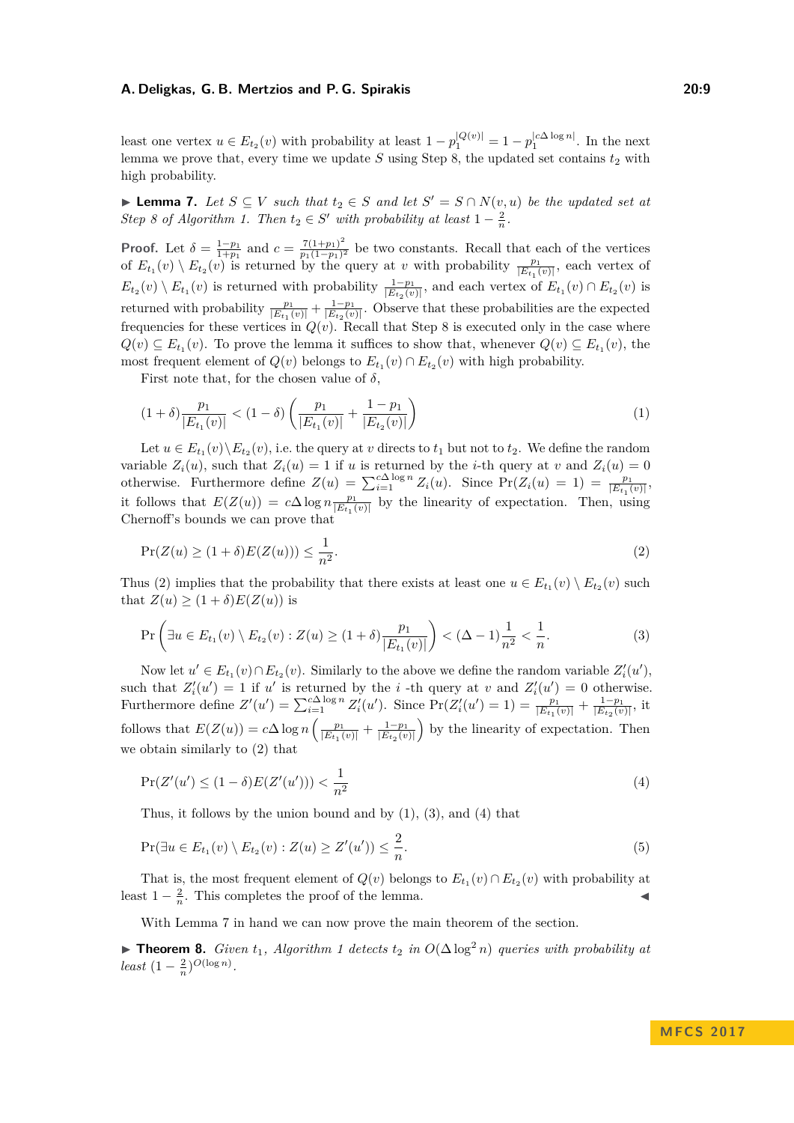least one vertex  $u \in E_{t_2}(v)$  with probability at least  $1 - p_1^{|Q(v)|} = 1 - p_1^{|c \Delta \log n|}$ . In the next lemma we prove that, every time we update  $S$  using Step [8,](#page-7-2) the updated set contains  $t_2$  with high probability.

<span id="page-8-5"></span>► **Lemma 7.** *Let*  $S \subseteq V$  *such that*  $t_2 \in S$  *and let*  $S' = S \cap N(v, u)$  *be the updated set at Step 8* of Algorithm [1.](#page-7-1) Then  $t_2 \in S'$  with probability at least  $1 - \frac{2}{n}$ .

**Proof.** Let  $\delta = \frac{1-p_1}{1+p_1}$  and  $c = \frac{7(1+p_1)^2}{p_1(1-p_1)^2}$  $\frac{(1+p_1)^2}{p_1(1-p_1)^2}$  be two constants. Recall that each of the vertices of  $E_{t_1}(v) \setminus E_{t_2}(v)$  is returned by the query at *v* with probability  $\frac{p_1}{|E_{t_1}(v)|}$ , each vertex of  $E_{t_2}(v) \setminus E_{t_1}(v)$  is returned with probability  $\frac{1-p_1}{|E_{t_2}(v)|}$ , and each vertex of  $E_{t_1}(v) \cap E_{t_2}(v)$  is returned with probability  $\frac{p_1}{|E_{t_1}(v)|} + \frac{1-p_1}{|E_{t_2}(v)|}$ . Observe that these probabilities are the expected frequencies for these vertices in  $Q(v)$ . Recall that Step [8](#page-7-2) is executed only in the case where  $Q(v) \subseteq E_{t_1}(v)$ . To prove the lemma it suffices to show that, whenever  $Q(v) \subseteq E_{t_1}(v)$ , the most frequent element of  $Q(v)$  belongs to  $E_{t_1}(v) \cap E_{t_2}(v)$  with high probability.

First note that, for the chosen value of  $\delta$ ,

<span id="page-8-2"></span>
$$
(1 + \delta) \frac{p_1}{|E_{t_1}(v)|} < (1 - \delta) \left( \frac{p_1}{|E_{t_1}(v)|} + \frac{1 - p_1}{|E_{t_2}(v)|} \right) \tag{1}
$$

Let  $u \in E_{t_1}(v) \setminus E_{t_2}(v)$ , i.e. the query at *v* directs to  $t_1$  but not to  $t_2$ . We define the random variable  $Z_i(u)$ , such that  $Z_i(u) = 1$  if *u* is returned by the *i*-th query at *v* and  $Z_i(u) = 0$ otherwise. Furthermore define  $Z(u) = \sum_{i=1}^{c \Delta \log n} Z_i(u)$ . Since  $Pr(Z_i(u) = 1) = \frac{p_1}{|E_{t_1}(v)|}$ it follows that  $E(Z(u)) = c\Delta \log n \frac{p_1}{|E_{t_1}(v)|}$  by the linearity of expectation. Then, using Chernoff's bounds we can prove that

<span id="page-8-1"></span>
$$
\Pr(Z(u) \ge (1+\delta)E(Z(u))) \le \frac{1}{n^2}.\tag{2}
$$

Thus [\(2\)](#page-8-1) implies that the probability that there exists at least one  $u \in E_{t_1}(v) \setminus E_{t_2}(v)$  such that  $Z(u) \geq (1+\delta)E(Z(u))$  is

<span id="page-8-3"></span>
$$
\Pr\left(\exists u \in E_{t_1}(v) \setminus E_{t_2}(v) : Z(u) \ge (1+\delta) \frac{p_1}{|E_{t_1}(v)|}\right) < (\Delta - 1)\frac{1}{n^2} < \frac{1}{n}.\tag{3}
$$

Now let  $u' \in E_{t_1}(v) \cap E_{t_2}(v)$ . Similarly to the above we define the random variable  $Z_i'(u')$ , such that  $Z_i'(u') = 1$  if *u'* is returned by the *i*-th query at *v* and  $Z_i'(u') = 0$  otherwise. Furthermore define  $Z'(u') = \sum_{i=1}^{c\Delta \log n} Z'_i(u')$ . Since  $Pr(Z'_i(u') = 1) = \frac{p_1}{|E_{t_1}(v)|} + \frac{1-p_1}{|E_{t_2}(v)|}$ , it follows that  $E(Z(u)) = c\Delta \log n \left( \frac{p_1}{|E_{t_1}(v)|} + \frac{1-p_1}{|E_{t_2}(v)|} \right)$  by the linearity of expectation. Then we obtain similarly to [\(2\)](#page-8-1) that

<span id="page-8-4"></span>
$$
\Pr(Z'(u') \le (1 - \delta)E(Z'(u'))) < \frac{1}{n^2} \tag{4}
$$

Thus, it follows by the union bound and by [\(1\)](#page-8-2), [\(3\)](#page-8-3), and [\(4\)](#page-8-4) that

$$
\Pr(\exists u \in E_{t_1}(v) \setminus E_{t_2}(v) : Z(u) \ge Z'(u')) \le \frac{2}{n}.
$$
\n
$$
(5)
$$

That is, the most frequent element of  $Q(v)$  belongs to  $E_{t_1}(v) \cap E_{t_2}(v)$  with probability at least  $1 - \frac{2}{n}$ . This completes the proof of the lemma.

With Lemma [7](#page-8-5) in hand we can now prove the main theorem of the section.

<span id="page-8-0"></span>▶ **Theorem 8.** *Given*  $t_1$ *, Algorithm [1](#page-7-1) detects*  $t_2$  *in*  $O(\Delta \log^2 n)$  *queries with probability at least*  $(1 - \frac{2}{n})^{O(\log n)}$ .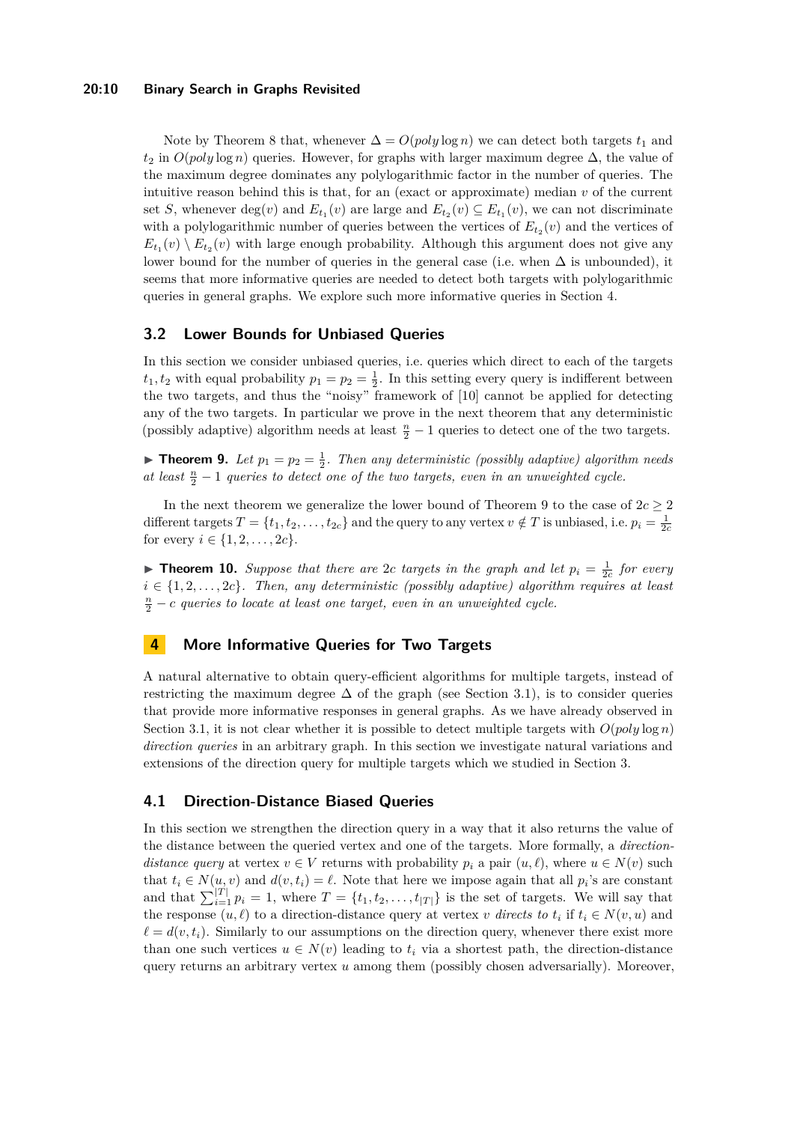### **20:10 Binary Search in Graphs Revisited**

Note by Theorem [8](#page-8-0) that, whenever  $\Delta = O(poly \log n)$  we can detect both targets  $t_1$  and  $t_2$  in  $O(poly \log n)$  queries. However, for graphs with larger maximum degree  $\Delta$ , the value of the maximum degree dominates any polylogarithmic factor in the number of queries. The intuitive reason behind this is that, for an (exact or approximate) median  $v$  of the current set *S*, whenever  $deg(v)$  and  $E_{t_1}(v)$  are large and  $E_{t_2}(v) \subseteq E_{t_1}(v)$ , we can not discriminate with a polylogarithmic number of queries between the vertices of  $E_{t_2}(v)$  and the vertices of  $E_{t_1}(v) \setminus E_{t_2}(v)$  with large enough probability. Although this argument does not give any lower bound for the number of queries in the general case (i.e. when  $\Delta$  is unbounded), it seems that more informative queries are needed to detect both targets with polylogarithmic queries in general graphs. We explore such more informative queries in Section [4.](#page-9-1)

### <span id="page-9-0"></span>**3.2 Lower Bounds for Unbiased Queries**

In this section we consider unbiased queries, i.e. queries which direct to each of the targets  $t_1, t_2$  with equal probability  $p_1 = p_2 = \frac{1}{2}$ . In this setting every query is indifferent between the two targets, and thus the "noisy" framework of [\[10\]](#page-12-1) cannot be applied for detecting any of the two targets. In particular we prove in the next theorem that any deterministic (possibly adaptive) algorithm needs at least  $\frac{n}{2} - 1$  queries to detect one of the two targets.

<span id="page-9-3"></span>**Theorem 9.** Let  $p_1 = p_2 = \frac{1}{2}$ . Then any deterministic (possibly adaptive) algorithm needs *at least*  $\frac{n}{2} - 1$  *queries to detect one of the two targets, even in an unweighted cycle.* 

In the next theorem we generalize the lower bound of Theorem [9](#page-9-3) to the case of  $2c \geq 2$ different targets  $T = \{t_1, t_2, \ldots, t_{2c}\}$  and the query to any vertex  $v \notin T$  is unbiased, i.e.  $p_i = \frac{1}{2c}$ for every  $i \in \{1, 2, ..., 2c\}.$ 

**Theorem 10.** *Suppose that there are 2c targets in the graph and let*  $p_i = \frac{1}{2c}$  *for every*  $i \in \{1, 2, \ldots, 2c\}$ *. Then, any deterministic (possibly adaptive) algorithm requires at least*  $\frac{n}{2} - c$  *queries to locate at least one target, even in an unweighted cycle.* 

# <span id="page-9-1"></span>**4 More Informative Queries for Two Targets**

A natural alternative to obtain query-efficient algorithms for multiple targets, instead of restricting the maximum degree  $\Delta$  of the graph (see Section [3.1\)](#page-7-0), is to consider queries that provide more informative responses in general graphs. As we have already observed in Section [3.1,](#page-7-0) it is not clear whether it is possible to detect multiple targets with  $O(poly \log n)$ *direction queries* in an arbitrary graph. In this section we investigate natural variations and extensions of the direction query for multiple targets which we studied in Section [3.](#page-6-0)

### <span id="page-9-2"></span>**4.1 Direction-Distance Biased Queries**

In this section we strengthen the direction query in a way that it also returns the value of the distance between the queried vertex and one of the targets. More formally, a *directiondistance query* at vertex  $v \in V$  returns with probability  $p_i$  a pair  $(u, \ell)$ , where  $u \in N(v)$  such that  $t_i \in N(u, v)$  and  $d(v, t_i) = \ell$ . Note that here we impose again that all  $p_i$ 's are constant and that  $\sum_{i=1}^{|T|} p_i = 1$ , where  $T = \{t_1, t_2, \ldots, t_{|T|}\}$  is the set of targets. We will say that the response  $(u, \ell)$  to a direction-distance query at vertex *v* directs to  $t_i$  if  $t_i \in N(v, u)$  and  $\ell = d(v, t_i)$ . Similarly to our assumptions on the direction query, whenever there exist more than one such vertices  $u \in N(v)$  leading to  $t_i$  via a shortest path, the direction-distance query returns an arbitrary vertex *u* among them (possibly chosen adversarially). Moreover,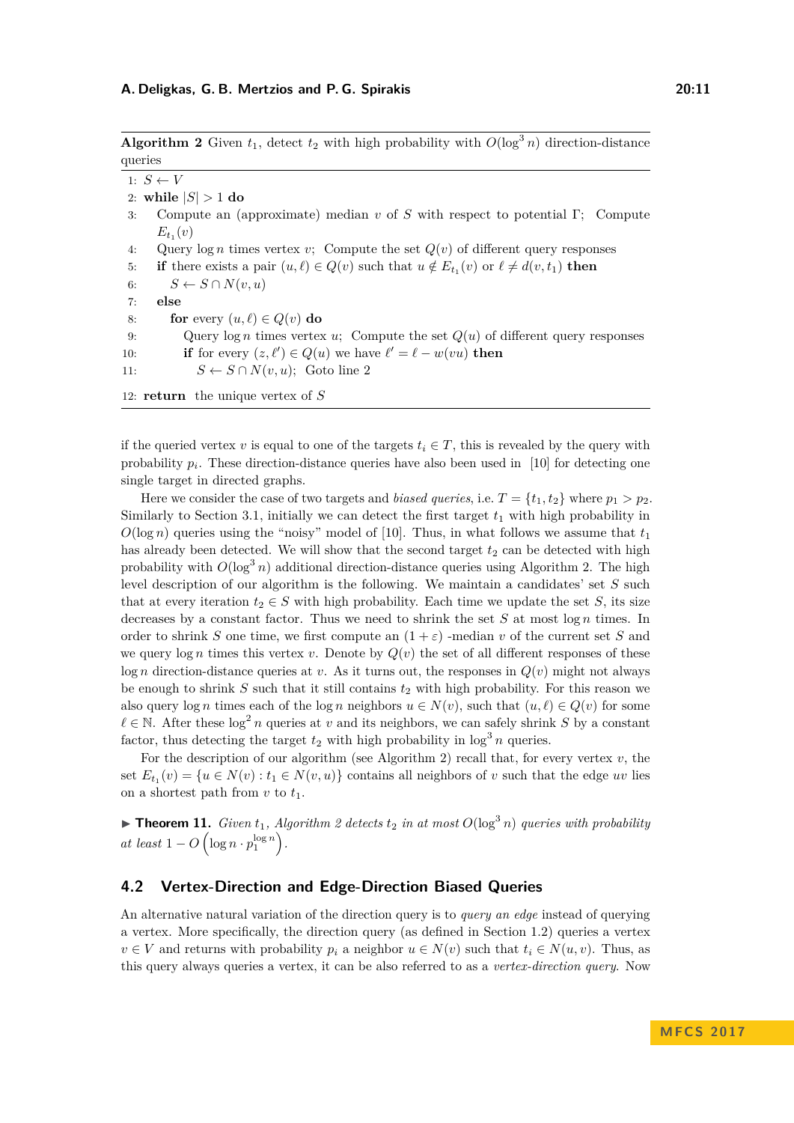<span id="page-10-2"></span>**Algorithm 2** Given  $t_1$ , detect  $t_2$  with high probability with  $O(\log^3 n)$  direction-distance queries

<span id="page-10-1"></span>1:  $S \leftarrow V$ 2: while  $|S| > 1$  do 3: Compute an (approximate) median *v* of *S* with respect to potential Γ; Compute  $E_{t_1}(v)$ 4: Query log *n* times vertex *v*; Compute the set *Q*(*v*) of different query responses 5: **if** there exists a pair  $(u, \ell) \in Q(v)$  such that  $u \notin E_{t_1}(v)$  or  $\ell \neq d(v, t_1)$  then 6:  $S \leftarrow S \cap N(v, u)$ 7: **else** 8: **for** every  $(u, \ell) \in Q(v)$  **do** 9: Query log *n* times vertex *u*; Compute the set *Q*(*u*) of different query responses 10: **if** for every  $(z, \ell') \in Q(u)$  we have  $\ell' = \ell - w(vu)$  then 11:  $S \leftarrow S \cap N(v, u);$  Goto line [2](#page-10-1) 12: **return** the unique vertex of *S*

if the queried vertex *v* is equal to one of the targets  $t_i \in T$ , this is revealed by the query with probability  $p_i$ . These direction-distance queries have also been used in [\[10\]](#page-12-1) for detecting one single target in directed graphs.

Here we consider the case of two targets and *biased queries*, i.e.  $T = \{t_1, t_2\}$  where  $p_1 > p_2$ . Similarly to Section [3.1,](#page-7-0) initially we can detect the first target *t*<sup>1</sup> with high probability in  $O(\log n)$  queries using the "noisy" model of [\[10\]](#page-12-1). Thus, in what follows we assume that  $t_1$ has already been detected. We will show that the second target  $t_2$  can be detected with high probability with  $O(\log^3 n)$  additional direction-distance queries using Algorithm [2.](#page-10-2) The high level description of our algorithm is the following. We maintain a candidates' set *S* such that at every iteration  $t_2 \in S$  with high probability. Each time we update the set *S*, its size decreases by a constant factor. Thus we need to shrink the set *S* at most log *n* times. In order to shrink *S* one time, we first compute an  $(1 + \varepsilon)$  -median *v* of the current set *S* and we query  $\log n$  times this vertex *v*. Denote by  $Q(v)$  the set of all different responses of these  $\log n$  direction-distance queries at *v*. As it turns out, the responses in  $Q(v)$  might not always be enough to shrink  $S$  such that it still contains  $t_2$  with high probability. For this reason we also query  $\log n$  times each of the  $\log n$  neighbors  $u \in N(v)$ , such that  $(u, \ell) \in Q(v)$  for some  $\ell \in \mathbb{N}$ . After these  $\log^2 n$  queries at *v* and its neighbors, we can safely shrink *S* by a constant factor, thus detecting the target  $t_2$  with high probability in  $\log^3 n$  queries.

For the description of our algorithm (see Algorithm [2\)](#page-10-2) recall that, for every vertex *v*, the set  $E_{t_1}(v) = \{u \in N(v) : t_1 \in N(v, u)\}$  contains all neighbors of *v* such that the edge *uv* lies on a shortest path from  $v$  to  $t_1$ .

 $\triangleright$  **Theorem 11.** *Given*  $t_1$ *, Algorithm* [2](#page-10-2) *detects*  $t_2$  *in at most*  $O(\log^3 n)$  *queries with probability*  $at$   $least$   $1 - O\left(\log n \cdot p_1^{\log n}\right)$ .

### <span id="page-10-0"></span>**4.2 Vertex-Direction and Edge-Direction Biased Queries**

An alternative natural variation of the direction query is to *query an edge* instead of querying a vertex. More specifically, the direction query (as defined in Section [1.2\)](#page-3-0) queries a vertex  $v \in V$  and returns with probability  $p_i$  a neighbor  $u \in N(v)$  such that  $t_i \in N(u, v)$ . Thus, as this query always queries a vertex, it can be also referred to as a *vertex-direction query*. Now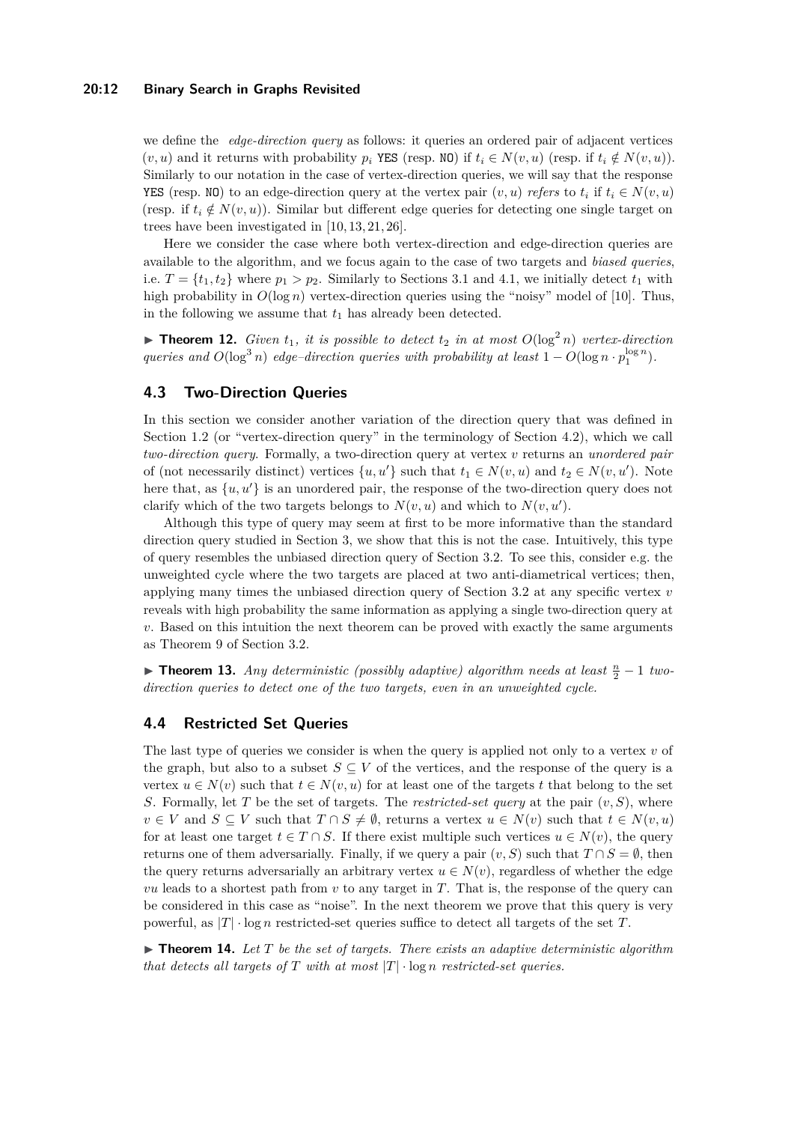### **20:12 Binary Search in Graphs Revisited**

we define the *edge-direction query* as follows: it queries an ordered pair of adjacent vertices  $(v, u)$  and it returns with probability  $p_i$  YES (resp. NO) if  $t_i \in N(v, u)$  (resp. if  $t_i \notin N(v, u)$ ). Similarly to our notation in the case of vertex-direction queries, we will say that the response YES (resp. NO) to an edge-direction query at the vertex pair  $(v, u)$  *refers* to  $t_i$  if  $t_i \in N(v, u)$ (resp. if  $t_i \notin N(v, u)$ ). Similar but different edge queries for detecting one single target on trees have been investigated in [\[10,](#page-12-1) [13,](#page-12-7) [21,](#page-13-7) [26\]](#page-13-2).

Here we consider the case where both vertex-direction and edge-direction queries are available to the algorithm, and we focus again to the case of two targets and *biased queries*, i.e.  $T = \{t_1, t_2\}$  where  $p_1 > p_2$ . Similarly to Sections [3.1](#page-7-0) and [4.1,](#page-9-2) we initially detect  $t_1$  with high probability in  $O(\log n)$  vertex-direction queries using the "noisy" model of [\[10\]](#page-12-1). Thus, in the following we assume that  $t_1$  has already been detected.

**Find 12.** *Given*  $t_1$ *, it is possible to detect*  $t_2$  *in at most*  $O(\log^2 n)$  *vertex-direction queries and*  $O(\log^3 n)$  *edge–direction queries with probability at least*  $1 - O(\log n \cdot p_1^{\log n})$ *.* 

### <span id="page-11-0"></span>**4.3 Two-Direction Queries**

In this section we consider another variation of the direction query that was defined in Section [1.2](#page-3-0) (or "vertex-direction query" in the terminology of Section [4.2\)](#page-10-0), which we call *two-direction query*. Formally, a two-direction query at vertex *v* returns an *unordered pair* of (not necessarily distinct) vertices  $\{u, u'\}$  such that  $t_1 \in N(v, u)$  and  $t_2 \in N(v, u')$ . Note here that, as  $\{u, u'\}$  is an unordered pair, the response of the two-direction query does not clarify which of the two targets belongs to  $N(v, u)$  and which to  $N(v, u')$ .

Although this type of query may seem at first to be more informative than the standard direction query studied in Section [3,](#page-6-0) we show that this is not the case. Intuitively, this type of query resembles the unbiased direction query of Section [3.2.](#page-9-0) To see this, consider e.g. the unweighted cycle where the two targets are placed at two anti-diametrical vertices; then, applying many times the unbiased direction query of Section [3.2](#page-9-0) at any specific vertex *v* reveals with high probability the same information as applying a single two-direction query at *v*. Based on this intuition the next theorem can be proved with exactly the same arguments as Theorem [9](#page-9-3) of Section [3.2.](#page-9-0)

▶ **Theorem 13.** *Any deterministic (possibly adaptive) algorithm needs at least*  $\frac{n}{2} - 1$  *twodirection queries to detect one of the two targets, even in an unweighted cycle.*

# <span id="page-11-1"></span>**4.4 Restricted Set Queries**

The last type of queries we consider is when the query is applied not only to a vertex *v* of the graph, but also to a subset  $S \subseteq V$  of the vertices, and the response of the query is a vertex  $u \in N(v)$  such that  $t \in N(v, u)$  for at least one of the targets *t* that belong to the set *S*. Formally, let *T* be the set of targets. The *restricted-set query* at the pair (*v, S*), where  $v \in V$  and  $S \subseteq V$  such that  $T \cap S \neq \emptyset$ , returns a vertex  $u \in N(v)$  such that  $t \in N(v, u)$ for at least one target  $t \in T \cap S$ . If there exist multiple such vertices  $u \in N(v)$ , the query returns one of them adversarially. Finally, if we query a pair  $(v, S)$  such that  $T \cap S = \emptyset$ , then the query returns adversarially an arbitrary vertex  $u \in N(v)$ , regardless of whether the edge *vu* leads to a shortest path from *v* to any target in *T*. That is, the response of the query can be considered in this case as "noise". In the next theorem we prove that this query is very powerful, as |*T*| · log *n* restricted-set queries suffice to detect all targets of the set *T*.

 $\blacktriangleright$  **Theorem 14.** Let T be the set of targets. There exists an adaptive deterministic algorithm *that detects all targets of*  $T$  *with at most*  $|T| \cdot \log n$  *restricted-set queries.*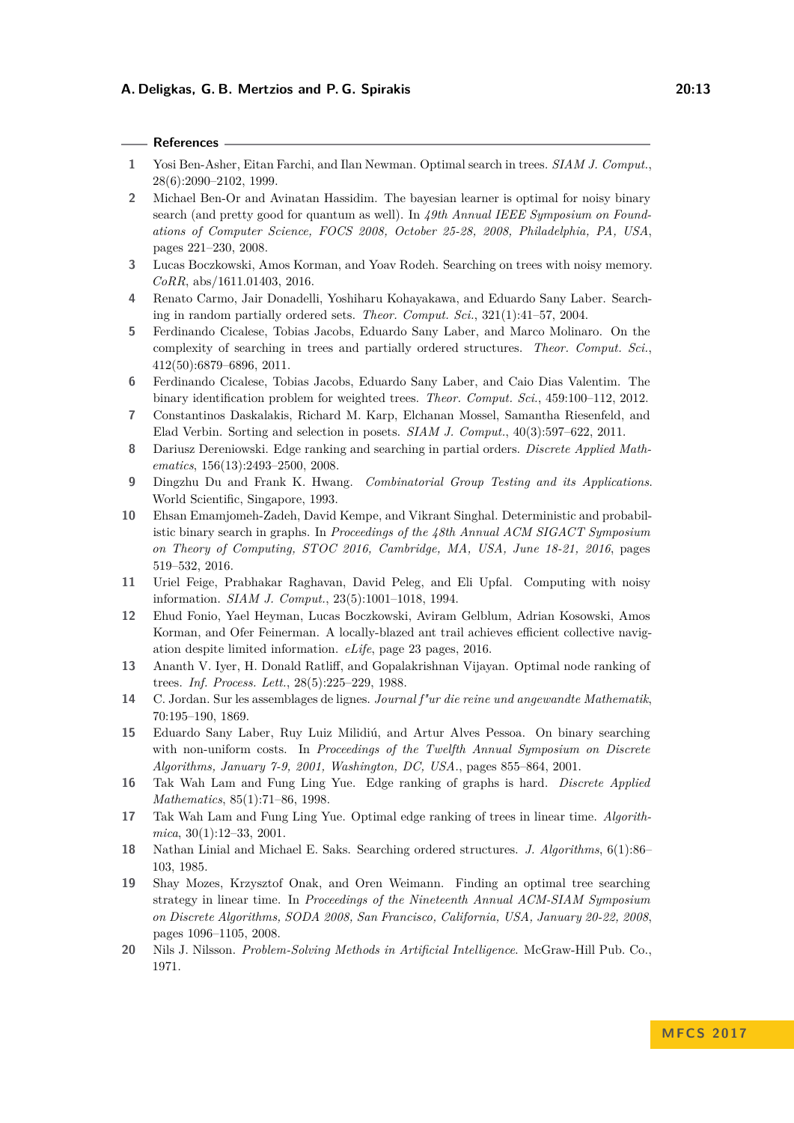#### **References**

- <span id="page-12-6"></span>**1** Yosi Ben-Asher, Eitan Farchi, and Ilan Newman. Optimal search in trees. *SIAM J. Comput.*, 28(6):2090–2102, 1999.
- <span id="page-12-13"></span>**2** Michael Ben-Or and Avinatan Hassidim. The bayesian learner is optimal for noisy binary search (and pretty good for quantum as well). In *49th Annual IEEE Symposium on Foundations of Computer Science, FOCS 2008, October 25-28, 2008, Philadelphia, PA, USA*, pages 221–230, 2008.
- <span id="page-12-15"></span>**3** Lucas Boczkowski, Amos Korman, and Yoav Rodeh. Searching on trees with noisy memory. *CoRR*, abs/1611.01403, 2016.
- <span id="page-12-3"></span>**4** Renato Carmo, Jair Donadelli, Yoshiharu Kohayakawa, and Eduardo Sany Laber. Searching in random partially ordered sets. *Theor. Comput. Sci.*, 321(1):41–57, 2004.
- <span id="page-12-10"></span>**5** Ferdinando Cicalese, Tobias Jacobs, Eduardo Sany Laber, and Marco Molinaro. On the complexity of searching in trees and partially ordered structures. *Theor. Comput. Sci.*, 412(50):6879–6896, 2011.
- **6** Ferdinando Cicalese, Tobias Jacobs, Eduardo Sany Laber, and Caio Dias Valentim. The binary identification problem for weighted trees. *Theor. Comput. Sci.*, 459:100–112, 2012.
- <span id="page-12-11"></span>**7** Constantinos Daskalakis, Richard M. Karp, Elchanan Mossel, Samantha Riesenfeld, and Elad Verbin. Sorting and selection in posets. *SIAM J. Comput.*, 40(3):597–622, 2011.
- <span id="page-12-4"></span>**8** Dariusz Dereniowski. Edge ranking and searching in partial orders. *Discrete Applied Mathematics*, 156(13):2493–2500, 2008.
- <span id="page-12-18"></span>**9** Dingzhu Du and Frank K. Hwang. *Combinatorial Group Testing and its Applications*. World Scientific, Singapore, 1993.
- <span id="page-12-1"></span>**10** Ehsan Emamjomeh-Zadeh, David Kempe, and Vikrant Singhal. Deterministic and probabilistic binary search in graphs. In *Proceedings of the 48th Annual ACM SIGACT Symposium on Theory of Computing, STOC 2016, Cambridge, MA, USA, June 18-21, 2016*, pages 519–532, 2016.
- <span id="page-12-14"></span>**11** Uriel Feige, Prabhakar Raghavan, David Peleg, and Eli Upfal. Computing with noisy information. *SIAM J. Comput.*, 23(5):1001–1018, 1994.
- <span id="page-12-17"></span>**12** Ehud Fonio, Yael Heyman, Lucas Boczkowski, Aviram Gelblum, Adrian Kosowski, Amos Korman, and Ofer Feinerman. A locally-blazed ant trail achieves efficient collective navigation despite limited information. *eLife*, page 23 pages, 2016.
- <span id="page-12-7"></span>**13** Ananth V. Iyer, H. Donald Ratliff, and Gopalakrishnan Vijayan. Optimal node ranking of trees. *Inf. Process. Lett.*, 28(5):225–229, 1988.
- <span id="page-12-0"></span>**14** C. Jordan. Sur les assemblages de lignes. *Journal f"ur die reine und angewandte Mathematik*, 70:195–190, 1869.
- <span id="page-12-12"></span>**15** Eduardo Sany Laber, Ruy Luiz Milidiú, and Artur Alves Pessoa. On binary searching with non-uniform costs. In *Proceedings of the Twelfth Annual Symposium on Discrete Algorithms, January 7-9, 2001, Washington, DC, USA.*, pages 855–864, 2001.
- <span id="page-12-5"></span>**16** Tak Wah Lam and Fung Ling Yue. Edge ranking of graphs is hard. *Discrete Applied Mathematics*, 85(1):71–86, 1998.
- <span id="page-12-8"></span>**17** Tak Wah Lam and Fung Ling Yue. Optimal edge ranking of trees in linear time. *Algorithmica*, 30(1):12–33, 2001.
- <span id="page-12-2"></span>**18** Nathan Linial and Michael E. Saks. Searching ordered structures. *J. Algorithms*, 6(1):86– 103, 1985.
- <span id="page-12-9"></span>**19** Shay Mozes, Krzysztof Onak, and Oren Weimann. Finding an optimal tree searching strategy in linear time. In *Proceedings of the Nineteenth Annual ACM-SIAM Symposium on Discrete Algorithms, SODA 2008, San Francisco, California, USA, January 20-22, 2008*, pages 1096–1105, 2008.
- <span id="page-12-16"></span>**20** Nils J. Nilsson. *Problem-Solving Methods in Artificial Intelligence*. McGraw-Hill Pub. Co., 1971.